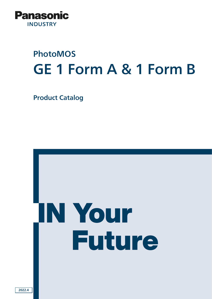

# PhotoMOS GE 1 Form A & 1 Form B

Product Catalog



2022.4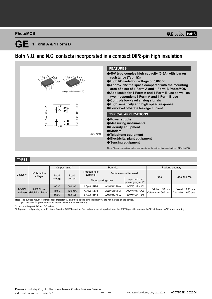#### **PhotoMOS**



### **Both N.O. and N.C. contacts incorporated in a compact DIP8-pin high insulation**



#### **TYPES**

| Category          |                                 | Output rating*1 |         | Part No.                                                             |                        |            | Packing quantity                             |                                                |
|-------------------|---------------------------------|-----------------|---------|----------------------------------------------------------------------|------------------------|------------|----------------------------------------------|------------------------------------------------|
|                   | I/O isolation<br>voltage        | Load            | Load    | Through hole<br>terminal                                             | Surface mount terminal |            | Tube                                         | Tape and reel                                  |
|                   |                                 | voltage         | current | Tape and reel<br>Tube packing style<br>packing style X <sup>*2</sup> |                        |            |                                              |                                                |
|                   |                                 | 60 V            | 500 mA  | AQW612EH                                                             | AQW612EHA              | AQW612EHAX |                                              |                                                |
| AC/DC<br>dual use | 5,000 Vrms<br>(High insulation) | 350 V           | 120 mA  | AQW610EH                                                             | AQW610EHA              | AQW610EHAX | $1$ -tube: 50 pcs.<br>Outer carton: 500 pcs. | 1-reel: 1,000 pcs.<br>Outer carton: 1,000 pcs. |
|                   |                                 | 400 V           | 100 mA  | AQW614EH                                                             | AQW614EHA              | AQW614EHAX |                                              |                                                |

Note: The surface mount terminal shape indicator "A" and the packing style indicator "X" are not marked on the device. (Ex. the label for product number AQW612EHAX is AQW612EH.)

\*1.Indicate the peak AC and DC values.

\*2.Tape and reel packing style X: picked from the 1/2/3/4-pin side. For part numbers with picked from the 5/6/7/8-pin side, change the "X" at the end to "Z" when ordering.

ー 1 ー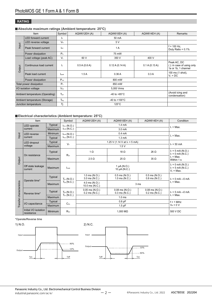#### **RATING**

#### **Absolute maximum ratings (Ambient temperature: 25°C)**

|                                 | Item                       | Symbol           | AQW612EH (A)  | AQW610EH (A)                          | AQW614EH (A)                      | Remarks                                                         |  |  |
|---------------------------------|----------------------------|------------------|---------------|---------------------------------------|-----------------------------------|-----------------------------------------------------------------|--|--|
|                                 | <b>LED</b> forward current | lE.              |               | 50 mA                                 |                                   |                                                                 |  |  |
| Input                           | LED reverse voltage        | $V_{R}$          |               | 5 V                                   |                                   |                                                                 |  |  |
|                                 | Peak forward current       | <b>IFP</b>       |               | $f = 100$ Hz,<br>Duty Ratio = $0.1\%$ |                                   |                                                                 |  |  |
|                                 | Power dissipation          | $P_{in}$         |               |                                       |                                   |                                                                 |  |  |
|                                 | Load voltage (peak AC)     | V <sub>L</sub>   | 60 V          | 350 V                                 | 400 V                             |                                                                 |  |  |
| Output                          | Continuous load current    | ΙL.              | 0.5 A (0.6 A) | 0.12 A (0.14 A)                       | 0.1 A (0.13 A)                    | Peak AC, DC<br>(): in case of using only<br>1a or 1b, 1 channel |  |  |
|                                 | Peak load current          | lpeak            | 1.5A          | 0.36A                                 | 0.3A                              | 100 ms (1 shot),<br>$V_L = DC$                                  |  |  |
|                                 | Power dissipation          | $P_{\text{out}}$ |               |                                       |                                   |                                                                 |  |  |
|                                 | Total power dissipation    | $P_T$            |               |                                       |                                   |                                                                 |  |  |
| I/O isolation voltage           |                            | $V_{\text{iso}}$ |               |                                       |                                   |                                                                 |  |  |
| Ambient temperature (Operating) |                            | $T_{\rm oor}$    |               |                                       | (Avoid icing and<br>condensation) |                                                                 |  |  |
| Ambient temperature (Storage)   |                            | $T_{\text{stg}}$ |               | -40 to $+100^{\circ}$ C               |                                   |                                                                 |  |  |
|                                 | Junction temperature       | Ti               |               | $125^{\circ}$ C                       |                                   |                                                                 |  |  |

#### **Electrical characteristics (Ambient temperature: 25°C)**

|                          | Item                                           |                | Symbol                              | AQW612EH (A)                            | AQW610EH (A)                            | <b>AQW614EH (A)</b>                     | Condition                                                  |
|--------------------------|------------------------------------------------|----------------|-------------------------------------|-----------------------------------------|-----------------------------------------|-----------------------------------------|------------------------------------------------------------|
|                          | LED operate                                    | <b>Typical</b> | $I_{Fon}$ (N.O.)                    | $1.4 \text{ mA}$                        |                                         |                                         | $I1$ = Max.                                                |
|                          | current                                        | Maximum        | $I_{Foff}$ $(N.C.)$                 |                                         | 3.0 <sub>m</sub> A                      |                                         |                                                            |
| Input                    | <b>LED</b> reverse                             | Minimum        | $I_{Foff}$ $(N.O.)$                 |                                         | 0.4 <sub>m</sub> A                      |                                         | $L = Max$ .                                                |
|                          | current                                        | Typical        | $I_{\text{Fon}}(N.C.)$              |                                         | 1.3 <sub>m</sub> A                      |                                         |                                                            |
|                          | <b>LED</b> dropout                             | Typical        | $V_F$                               |                                         | 1.25 V (1.14 V at $I_F = 5$ mA)         |                                         | $I_F = 50 \text{ mA}$                                      |
|                          | voltage                                        | Maximum        |                                     |                                         | 1.5V                                    |                                         |                                                            |
|                          | On resistance                                  | <b>Typical</b> | $R_{on}$                            | $1 \Omega$                              | 18 $\Omega$                             | 26 Ω                                    | $I_F = 5$ mA (N.O.)<br>$I_F = 0$ mA (N.C.)                 |
| Output                   |                                                | Maximum        |                                     | $2.5 \Omega$                            | $25 \Omega$                             | $35 \Omega$                             | $I1$ = Max.<br>Within 1 s                                  |
|                          | Off state leakage<br>current                   | Maximum        | Leak                                | $1 \mu A (N.O.)$<br>10 $\mu$ A (N.C.)   |                                         |                                         | $I_F = 0$ mA (N.O.)<br>$I_F = 5$ mA (N.C.)<br>$V_1$ = Max. |
|                          |                                                | <b>Typical</b> | $T_{on}$ (N.O.)                     | $1.0$ ms $(N.O.)$<br>3.0 ms (N.C.)      | $0.5$ ms $(N.O.)$<br>1.0 ms $(N.C.)$    | $0.5$ ms $(N.O.)$<br>$0.8$ ms $(N.C.)$  | $I_F = 0$ mA $\rightarrow$ 5 mA                            |
| Transfer characteristics | Operate time*                                  | Maximum        | $T_{\text{off}}$ (N.C.)             | 4.0 ms (N.O.)<br>10.0 ms (N.C.)         | 3 <sub>ms</sub>                         |                                         | $I1$ = Max.                                                |
|                          | Reverse time*                                  | <b>Typical</b> | $T_{off}$ (N.O.)<br>$T_{on}$ (N.C.) | $0.05$ ms $(N.O.)$<br>$0.2$ ms $(N.C.)$ | $0.08$ ms $(N.O.)$<br>$0.3$ ms $(N.C.)$ | $0.08$ ms $(N.O.)$<br>$0.2$ ms $(N.C.)$ | $I_F = 5$ mA $\rightarrow$ 0 mA<br>$I1$ = Max.             |
|                          |                                                | Maximum        |                                     |                                         | 1.0 <sub>ms</sub>                       |                                         |                                                            |
|                          |                                                | Typical        | $C_{\text{iso}}$                    | $0.8$ pF                                |                                         |                                         | $f = 1$ MHz<br>$V_B = 0 V$                                 |
|                          | I/O capacitance                                | Maximum        |                                     |                                         |                                         |                                         |                                                            |
|                          | Initial I/O isolation<br>Minimum<br>resistance |                | $R_{iso}$                           |                                         | 1,000 $M\Omega$                         |                                         | 500 V DC                                                   |

#### \*Operate/Reverse time

#### 1) N.O.



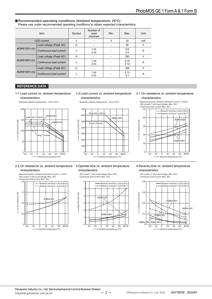#### ■ Recommended operating conditions (Ambient temperature: 25°C)

Please use under recommended operating conditions to obtain expected characteristics.

|                     | Item                    | Symbol | Number of<br>used<br>channels | Min. | Max.         | Unit   |
|---------------------|-------------------------|--------|-------------------------------|------|--------------|--------|
|                     | <b>LED</b> current      | IF.    |                               | 5    | 30           | mA     |
| <b>AQW612EH (A)</b> | Load voltage (Peak AC)  | VL.    |                               |      | 48           | V      |
|                     | Continuous load current | h.     | $1$ ch<br>2 <sub>ch</sub>     |      | 0.6<br>0.5   | A      |
|                     | Load voltage (Peak AC)  | VL.    |                               |      | 280          | $\vee$ |
| <b>AQW610EH (A)</b> | Continuous load current | h.     | $1$ ch<br>2 ch                |      | 0.14<br>0.12 | A      |
| <b>AQW614EH (A)</b> | Load voltage (Peak AC)  | VL     |                               |      | 320          | $\vee$ |
|                     | Continuous load current | h.     | $1$ ch<br>2 ch                |      | 0.13<br>0.1  | A      |

200 100

 $30<sup>°</sup>$ 

Load

#### **REFERENCE DATA**

#### 1-1.Load current vs. ambient temperature characteristics





Allowable ambient temperature: –40 to +85°C

#### 700 Using only 1 chan 600 AQW612EH current (mA) Load current (mA) 500  $Using 2 ch$ 400

#### 2-1.On resistance vs. ambient temperature characteristics

Measured portion: between terminals 5 and 6, 7 and 8; LED current: 5 mA; Load voltage; Max. (DC) Continuous load current: Max. (DC)



#### 2-2.On resistance vs. ambient temperature 3.Operate time vs. ambient temperature characteristics



## characteristics

 $0$ <br> $-40$   $-20$   $0$   $20$   $40$   $60$   $8085$ 

Ambient temperature (°C)

-20 0 20 40 60





characteristics LED current: 5 mA; Load voltage: Max. (DC); Continuous load current: Max. (DC)

4.Reverse time vs. ambient temperature

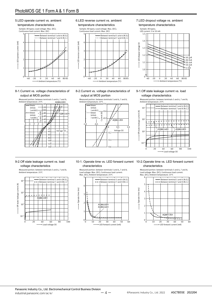### PhotoMOS GE 1 Form A & 1 Form B

#### 5.LED operate current vs. ambient

#### temperature characteristics



#### 8-1.Current vs. voltage characteristics of output at MOS portion



6.LED reverse current vs. ambient temperature characteristics

Sample: All types; Load voltage: Max. (DC); Continuous load current: Max. (DC)



8-2.Current vs. voltage characteristics of output at MOS portion



7.LED dropout voltage vs. ambient temperature characteristics



#### 9-1.Off state leakage current vs. load voltage characteristics



#### 9-2.Off state leakage current vs. load voltage characteristics

Measured portion: between terminals 5 and 6, 7 and 8; Ambient temperature: 25°C



#### 10-1. Operate time vs. LED forward current 10-2.Operate time vs. LED forward current characteristics

Measured portion: between terminals 5 and 6, 7 and 8; Load voltage: Max. (DC); Continuous load current: Max. (DC); Ambient temperature: 25°C



### characteristics

Measured portion: between terminals 5 and 6, 7 and 8; Load voltage: Max. (DC); Continuous load current: Max. (DC); Ambient temperature: 25°C

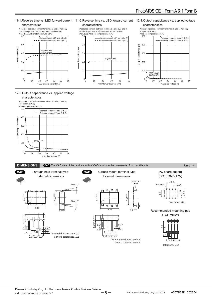#### 12-1.Output capacitance vs. applied voltage 11-1.Reverse time vs. LED forward current 11-2.Reverse time vs. LED forward current characteristics characteristics characteristics Measured portion: between terminals 5 and 6, 7 and 8; Measured portion: between terminals 5 and 6, 7 and 8; Measured portion: between terminals 5 and 6, 7 and 8; Load voltage: Max. (DC); Continuous load current: Max. (DC); Ambient temperature: 25°C Load voltage: Max. (DC); Continuous load current: Max. (DC); Ambient temperature: 25°C Frequency: 1 MHz; Ambient temperature: 25°C  $0.5$  $0.5$ 500 Between terminal 5 and 6 (N.O.) Between terminal 5 and 6 (N.O.) Between terminal 5 and 6 (N.O.) Between terminal 7 and 8 (N.C.)  $- - -$  Between terminal 7 and 8 (N.C.)  $-$  – Between terminal 7 and 8 (N.C.) 0.4  $0.4$ 400 Output capacitance (pF) Output capacitance (pF) Reverse time (ms) Reverse time (ms) Reverse time (ms) Reverse time (ms) AQW610EH AQW614EH  $0.3$ 300 0.3 AQW612EH  $0.2$  $0.2$ 200 0.1 0.1 100 AQW610EH AQW614EH  $0\frac{1}{0}$  10  $0\begin{array}{c} 0 \ \hline 0 \end{array}$  10  $\theta$ 20 30 40 50 60 20 30 40 50  $^{\circ}$  0 10 20 30 40 50 60 LED forward current (mA) Applied voltage (V) LED forward current (mA)

12-2.Output capacitance vs. applied voltage characteristics



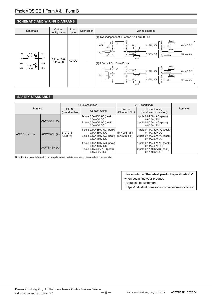#### **SCHEMATIC AND WIRING DIAGRAMS**

| Schematic                                                                              | Output<br>configuration | Load<br>type | Connection               | Wiring diagram                                                                                                                                                                                                                                                                                                                                                                                                                  |  |  |
|----------------------------------------------------------------------------------------|-------------------------|--------------|--------------------------|---------------------------------------------------------------------------------------------------------------------------------------------------------------------------------------------------------------------------------------------------------------------------------------------------------------------------------------------------------------------------------------------------------------------------------|--|--|
| ٧.C.<br>$1^\circ$<br>Ο8<br>唔<br>2O<br>$-07$<br>$3O -$<br>O 6<br>Œ<br>4O<br>O 5<br>N.O. | Form A &<br>1 Form B    | AC/DC        | $\overline{\phantom{a}}$ | (1) Two independent 1 Form A & 1 Form B use<br>Load<br>C<br> 11 <br>E1<br>VL1 (AC, DC)<br>VL1 (AC, DC)<br>Load<br>Load<br>VL2 (AC, DC)<br>E <sub>1</sub><br> L2 <br>$VL2$ (AC, DC)<br>IF <sub>2</sub><br> L2 <br>Load<br>(2) 1 Form A & 1 Form B use<br>Load<br>8<br>ℸ╍<br>O<br> L1 <br>VL1 (AC, DC)<br>VL1 (AC, DC)<br>$E_1$<br>Load<br>IF <sub>1</sub><br>Load<br>Ξ<br>VL2 (AC, DC)<br> L2 <br>$VL2$ (AC, DC)<br> L2 <br>Load |  |  |

### **SAFETY STANDARDS**

| Part No.       |                     | UL (Recognized)            |                                                                                                | <b>VDE</b> (Certified)      |                                                                                              |         |
|----------------|---------------------|----------------------------|------------------------------------------------------------------------------------------------|-----------------------------|----------------------------------------------------------------------------------------------|---------|
|                |                     | File No.<br>(Standard No.) | Contact rating                                                                                 | File No.<br>(Standard No.)  | Contact rating<br>(Reinforced insulation)                                                    | Remarks |
|                | AQW612EH (A)        | E191218<br>(UL1577)        | 1-pole 0.6A 60V AC (peak)<br>0.6A60VDC<br>2-pole 0.5A 60V AC (peak)<br>0.5A 60V DC             |                             | 1-pole 0.6A 60V AC (peak)<br>0.6A60VDC<br>2-pole 0.5A 60V AC (peak)<br>0.5A 60V DC           |         |
| AC/DC dual use | <b>AQW610EH (A)</b> |                            | 1-pole 0.14A 350V AC (peak)<br>0.14A 350V DC<br>2-pole 0.12A 350V AC (peak)<br>$0.12A$ 350V DC | Nr. 40051981<br>(EN62368-1) | 1-pole 0.14A 350V AC (peak)<br>0.14A 350V DC<br>2-pole 0.12A 350V AC (peak)<br>0.12A 350V DC |         |
|                | <b>AQW614EH (A)</b> |                            | 1-pole 0.13A 400V AC (peak)<br>0.13A 400V DC<br>2-pole 0.1A 400V AC (peak)<br>0.1A 400V DC     |                             | 1-pole 0.13A 400V AC (peak)<br>0.13A 400V DC<br>2-pole 0.1A 400V AC (peak)<br>0.1A 400V DC   |         |

Note: For the latest information on compliance with safety standards, please refer to our website.

Please refer to **"the latest product specifications"** when designing your product. •Requests to customers: https://industrial.panasonic.com/ac/e/salespolicies/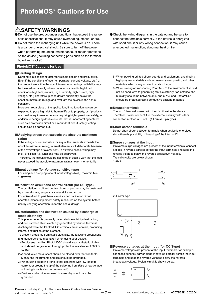### **SAFETY WARNINGS**

Do not use the product under conditions that exceed the range of its specifications. It may cause overheating, smoke, or fire.

● Do not touch the recharging unit while the power is on. There is a danger of electrical shock. Be sure to turn off the power when performing mounting, maintenance, or repair operations on the device (including connecting parts such as the terminal board and socket).

#### **PhotoMOS® Cautions for Use**

#### **Derating design**

Derating is a significant factor for reliable design and product life. Even if the conditions of use (temperature, current, voltage, etc.) of the product are within the absolute maximum ratings, reliability may be lowered remarkably when continuously used in high load conditions (high temperature, high humidity, high current, high voltage, etc.) Therefore, please derate sufficiently below the absolute maximum ratings and evaluate the device in the actual condition.

Moreover, regardless of the application, if malfunctioning can be expected to pose high risk to human life or to property, or if products are used in equipment otherwise requiring high operational safety, in addition to designing double circuits, that is, incorporating features such as a protection circuit or a redundant circuit, safety testing should also be carried out.

#### **Applying stress that exceeds the absolute maximum rating**

If the voltage or current value for any of the terminals exceeds the absolute maximum rating, internal elements will deteriorate because of the overvoltage or overcurrent. In extreme cases, wiring may melt, or silicon P/N junctions may be destroyed.

Therefore, the circuit should be designed in such a way that the load never exceed the absolute maximum ratings, even momentarily.

#### **Input voltage (for Voltage-sensitive type)**

For rising and dropping ratio of input voltage(dv/dt), maintain Min. 100mV/ms.

**Oscillation circuit and control circuit (for CC Type)**

The oscillation circuit and control circuit of product may be destroyed by external noise, surge, static electricity and so on. For noise effect to peripheral circuits when oscillation circuit

operates, please implement safety measures on the system before use by verifying operation under the actual design.

#### **Deterioration and destruction caused by discharge of static electricity**

This phenomenon is generally called static electricity destruction, and occurs when static electricity generated by various factors is discharged while the PhotoMOS® terminals are in contact, producing internal destruction of the element.

To prevent problems from static electricity, the following precautions and measures should be taken when using your device.

- 1) Employees handling PhotoMOS® should wear anti-static clothing and should be grounded through protective resistance of 500kΩ to 1MΩ.
- 2) A conductive metal sheet should be placed over the worktable. Measuring instruments and jigs should be grounded.
- 3) When using soldering irons, either use irons with low leakage current, or ground the tip of the soldering iron. (Use of low-voltage soldering irons is also recommended.)
- 4) Devices and equipment used in assembly should also be grounded.
- Check the wiring diagrams in the catalog and be sure to connect the terminals correctly. If the device is energized with short circuit or any wrong connection, it may cause unexpected malfunction, abnormal heat or fire.
	- 5) When packing printed circuit boards and equipment, avoid using high-polymer materials such as foam styrene, plastic, and other materials which carry an electrostatic charge.
	- 6) When storing or transporting PhotoMOS®, the environment should not be conducive to generating static electricity (for instance, the humidity should be between 45% and 60%), and PhotoMOS® should be protected using conductive packing materials.

#### **Unused terminals**

The No. 3 terminal is used with the circuit inside the device. Therefore, do not connect it to the external circuitry with either connection method A, B or C. (1 Form A 6-pin type)

#### **Short across terminals**

Do not short circuit between terminals when device is energized, since there is possibility of breaking of the internal IC.

#### **Surge voltages at the input**

If reverse surge voltages are present at the input terminals, connect a diode in reverse parallel across the input terminals and keep the reverse voltages below the reverse breakdown voltage. Typical circuits are below shown.

1) 6-pin

![](_page_7_Figure_33.jpeg)

2) Power type

![](_page_7_Figure_35.jpeg)

#### **Reverse voltages at the input (for CC Type)**

If reverse voltages are present at the input terminals, for example, connect a schottky barrier diode in reverse parallel across the input terminals and keep the reverse voltages below the reverse breakdown voltage. Typical circuit is shown below.

![](_page_7_Figure_38.jpeg)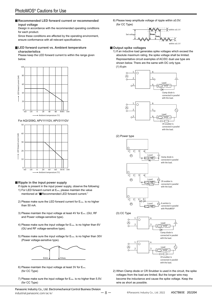#### **Recommended LED forward current or recommended input voltage**

Design in accordance with the recommended operating conditions for each product.

Since these conditions are affected by the operating environment, ensure conformance with all relevant specifications.

### ■ **LED forward current vs. Ambient temperature**

#### **characteristics**

Please keep the LED forward current to within the range given below.

![](_page_8_Figure_7.jpeg)

![](_page_8_Figure_8.jpeg)

#### **Ripple in the input power supply**

If ripple is present in the input power supply, observe the following: 1) For LED forward current at Emin, please maintain the value mentioned at "■Recommended LED forward current."

- 2) Please make sure the LED forward current for E<sub>max</sub> is no higher than 50 mA.
- 3) Please maintain the input voltage at least 4V for Emin. (GU, RF and Power voltage-sensitive type).
- 4) Please make sure the input voltage for E<sub>max</sub>. is no higher than 6V (GU and RF voltage-sensitive type).
- 5) Please make sure the input voltage for Emax. is no higher than 30V (Power voltage-sensitive type).

![](_page_8_Figure_15.jpeg)

- 6) Please maintain the input voltage at least 3V for Emin. (for CC Type)
- 7) Please make sure the input voltage for E<sub>max</sub>. is no higher than 5.5V. (for CC Type)

8) Please keep amplitude voltage of ripple within ±0.5V. (for CC Type)

![](_page_8_Figure_19.jpeg)

#### **Output spike voltages**

1) If an inductive load generates spike voltages which exceed the absolute maximum rating, the spike voltage shall be limited. Representative circuit examples of AC/DC dual use type are shown below. There are the same with DC only type. (1) 6-pin

![](_page_8_Figure_22.jpeg)

![](_page_8_Figure_23.jpeg)

2) When Clamp diode or CR Snubber is used in the circuit, the spike voltages from the load are limited. But the longer wire may become the inductance and cause the spike voltage. Keep the wire as short as possible.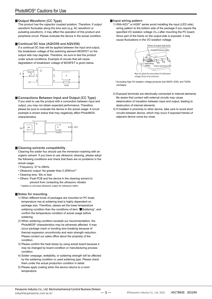#### **Output Waveform (CC Type)**

This product has the capacitor coupled isolation. Therefore, if output waveform fluctuates along the time axis (e.g. AC waveform or pulsating waveform), it may affect the operation of this product and peripheral circuit. Please evaluate the device in the actual condition.

#### **Continual DC bias (AQV259 and AQV258)**

If a continual DC bias will be applied between the input and output, the breakdown voltage of the switching element MOSFET on the output side may degrade. Therefore, be sure to test the product under actual conditions. Example of circuits that will cause degradation of breakdown voltage of MOSFET is given below.

![](_page_9_Figure_5.jpeg)

#### **Connections Between Input and Output (CC Type)**

If you wish to use the product with a connection between input and output, you may not obtain expected performance. Therefore, please be sure to evaluate the device in the actual usage. A circuit example is shown below that may negatively affect PhotoMOS characteristics.

![](_page_9_Figure_8.jpeg)

#### **Cleaning solvents compatibility**

Cleaning the solder flux should use the immersion washing with an organic solvent. If you have to use ultrasonic cleaning, please adopt the following conditions and check that there are no problems in the actual usage.

- Frequency: 27 to 29kHz
- Ultrasonic output: No greater than 0.25W/cm<sup>2\*</sup>
- Cleaning time: 30s or less
- Others: Float PCB and the device in the cleaning solvent to prevent from contacting the ultrasonic vibrator \* Applies to unit area ultrasonic output for ultrasonic baths

#### **Notes for mounting**

- 1) When different kinds of packages are mounted on PC boad, temperature rise at soldering lead is highly dependent on package size. Therefore, please set the lower temperature soldering condition than the conditions of item "■Soldering", and confirm the temperature condition of actual usage before soldering.
- 2) When soldering condition exceeds our recommendation, the PhotoMOS® characteristics may be adversely affected. It may occur package crack or bonding wire breaking because of thermal expansion unconformity and resin strength reduction. Please contact our sales office about the propriety of the condition.
- 3) Please confirm the heat stress by using actual board because it may be changed by board condition or manufacturing process condition.
- 4) Solder creepage, wettability, or soldering strength will be affected by the soldering condition or used soldering type. Please check them under the actual production condition in detail.
- 5) Please apply coating when the device returns to a room temperature.

#### **Input wiring pattern**

1) With AQY\* or AQW\* series avoid installing the input (LED side) wiring pattern to the bottom side of the package if you require the specified I/O isolation voltage (Viso) after mounting the PC board. Since part of the frame on the output side is exposed, it may cause fluctuations in the I/O isolation voltage.

![](_page_9_Figure_23.jpeg)

voltage (Viso) to be achieved

- \* Excluding high I/O isolation voltage products and SSOP, SON, and TSON packages
- 2) Exposed terminals are electrically connected to internal elements. Be aware that contact with external circuits may cause deterioration of insulation between input and output, leading to destruction of internal elements.
- 3) If installed in proximity to other device, take care to avoid short circuits between device, which may occur if exposed frames of adjacent device come too close.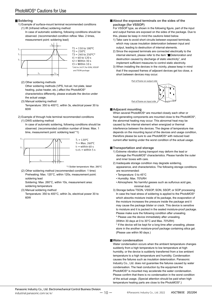#### **Soldering**

- 1) Example of surface-mount terminal recommended conditions (1) IR (Infrared reflow) soldering method
	- In case of automatic soldering, following conditions should be observed. (recommended condition reflow: Max. 2 times, measurement point: soldering lead)

![](_page_10_Figure_4.jpeg)

 $T1 = 150$  to  $180^{\circ}$ C  $T2 = 230^{\circ}C$  $T3 = 240$  to  $250^{\circ}$ C\*  $t1 = 60$  to 120 s  $t2 =$  Within 30 s  $t3 =$  Within 10 s \*240 to 245°C for SON, VSSOP and TSON package

- (2) Other soldering methods Other soldering methods (VPS, hot-air, hot plate, laser
	- heating, pulse heater, etc.) affect the PhotoMOS® characteristics differently, please evaluate the device under the actual usage.
- (3) Manual soldering method Temperature: 350 to 400°C, within 3s, electrical power 30 to 60W
- 2) Example of through hole terminal recommended conditions

#### (1) DWS soldering method

In case of automatic soldering, following conditions should be observed. (recommended condition number of times: Max. 1 time, measurement point: soldering lead \*1)

![](_page_10_Figure_12.jpeg)

 $T_2$  = Max. 260 $^{\circ}$ C  $t_1$  = within 60 s  $t_2+t_3 =$  within 5 s

\*1 Solder temperature: Max. 260°C

(2) Other soldering method (recommended condition: 1 time) Preheating: Max. 120°C, within 120s, measurement point: soldering lead

Soldering: Max. 260°C, within 10s, measurement area: soldering temperature

(3) Manual soldering method

Temperature: 350 to 400°C, within 3s, electrical power 30 to 60W

**About the exposed terminals on the sides of the package (for VSSOP)**

For VSSOP type, as shown in the following figure, part of the input and output frames are exposed on the sides of the package. Due to this, please be keep in mind the cautions listed below.

- 1) Take care to avoid short circuits between exposed terminals, which may cause insulation deterioration between input and output, leading to destruction of internal elements.
- 2) Since the exposed terminals are connected electrically to the internal element, please refer to the item "■Deterioration and destruction caused by discharge of static electricity", and implement sufficient measures to control static electricity.
- 3) When installing the devices in the vicinity, please keep in mind that if the exposed frames of adjacent devices get too close, a short between devices may occur.

![](_page_10_Picture_24.jpeg)

#### **Adjacent mounting**

When several PhotoMOS® are mounted closely each other or heat-generating components are mounted close to the PhotoMOS®, the abnormal heating may occur. This abnormal heat may be caused by the internal element when energized or thermal interference between the devices. The degree of temperature rise depends on the mounting layout of the devices and usage condition, therefore please be sure to use PhotoMOS® with reduced load current after testing under the worst condition of the actual usage.

#### **Transportation and storage**

- 1) Extreme vibration during transport may deform the lead or damage the PhotoMOS® characteristics. Please handle the outer and inner boxes with care.
- 2) Inadequate storage condition may degrade soldering, appearance, and characteristics. The following storage conditions are recommended:
	- Temperature: 0 to 45°C
	- Humidity: Max. 70%RH
	- Atmosphere: No harmful gasses such as sulfurous acid gas, minimal dust.
- 3) Storage before TSON, VSSOP, SON, SSOP, or SOP processing In case the heat stress of soldering is applied to the PhotoMOS® which absorbs moisture inside of its package, the evaporation of the moisture increases the pressure inside the package and it may cause the package blister or crack. This device is sensitive to moisture and it is packed in the sealed moisture-proof package. Please make sure the following condition after unsealing.
	- \* Please use the device immediately after unsealing.
	- (Within 30 days at 0 to 30°C and Max. 70%RH)
	- \* If the device will be kept for a long time after unsealing, please store in the another moisture-proof package containing silica gel. (Please use within 90 days.)

#### **Water condensation**

Water condensation occurs when the ambient temperature changes suddenly from a high temperature to low temperature at high humidity, or the device is suddenly transferred from a low ambient temperature to a high temperature and humidity. Condensation causes the failures such as insulation deterioration. Panasonic Industry Co., Ltd. does not guarantee the failures caused by water condensation. The heat conduction by the equipment the PhotoMOS® is mounted may accelerate the water condensation. Please confirm that there is no condensation in the worst condition of the actual usage. (Special attention should be paid when high temperature heating parts are close to the PhotoMOS®.)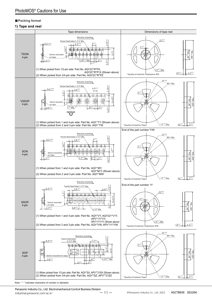#### **Packing format**

#### **1) Tape and reel**

![](_page_11_Figure_3.jpeg)

Note: " \* " indicates characters of number or alphabet.

Panasonic Industry Co., Ltd. Electromechanical Control Business Division  $i$ mdustrial.panasonic.com/ac/e/  $-11 -$  ©Panasonic Industry Co., Ltd. 2022 ASCTB65E 202204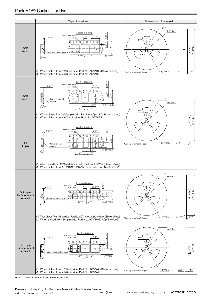![](_page_12_Figure_1.jpeg)

Note: " \* " indicates characters of number or alphabet.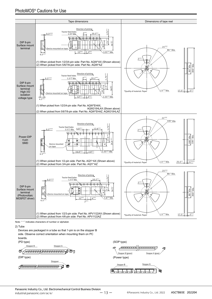![](_page_13_Figure_1.jpeg)

2) Tube

Devices are packaged in a tube so that 1-pin is on the stopper B side. Observe correct orientation when mounting them on PC boards.

![](_page_13_Figure_4.jpeg)

![](_page_13_Figure_5.jpeg)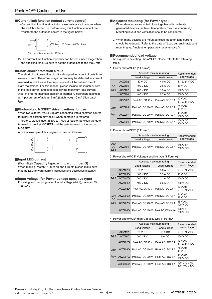#### **Current limit function (output current control)**

1) Current limit function aims to increase resistance to surges when the switch is turned on. Before using this function, connect the varistor to the output as shown in the figure below.

![](_page_14_Figure_3.jpeg)

2) The current limit function capability can be lost if used longer than

#### **Short circuit protection circuit**

The short circuit protection circuit is designed to protect circuits from excess current. Therefore, surge current may be detected as current overload in which case the output current will be cut and the off state maintained. For this reason, please include the inrush current in the load current and keep it below the maximum load current. Also, in order to maintain stability of internal IC operation, maintain an input current of at least 5 mA (Latch type), 10 mA (Non Latch type).

the specified time. Be sure to set the output loss to the Max. rate.

#### **Photovoltaic MOSFET driver cautions for use**

When two external MOSEETs are connected with a common source terminal, oscillation may occur when operation is restored. Therefore, please insert a 100 to 1,000  $\Omega$  resistor between the gate terminal of the first MOSFET and the gate terminal of the second MOSFET.

A typical example of this is given in the circuit below.

![](_page_14_Figure_10.jpeg)

#### **Input LED current**

**(For High Capacity type: with part number G)**  When making PhotoMOS turn on and turn off, please make sure that the LED forward current increases and decreases instantly.

#### **Input voltage (for Power voltage-sensitive type)**

For rising and dropping ratio of input voltage (dv/dt), maintain Min. 100 mV/s.

#### **Adjacent mounting (for Power type)**

- 1) When devices are mounted close together with the heatgenerated devices, ambient temperature may rise abnormally. Mounting layout and ventilation should be considered.
- 2) When many devices are mounted close together, load current should be reduced. (Refer to the data of "Load current in adjacent mounting vs. Ambient temperature characteristics.")

#### **Recommended load voltage**

As a guide in selecting PhotoMOS®, please refer to the following table.

#### 1) Power photoMOS® (1 Form A)

|                   |        | Absolute maximum rating      | Recommended<br>load voltage |                                  |
|-------------------|--------|------------------------------|-----------------------------|----------------------------------|
|                   |        | Load current<br>Load voltage |                             |                                  |
|                   | AQZ102 | 60 V DC                      | $4.0 A$ DC                  | 5, 12, 24 V DC                   |
| DC.               | AQZ105 | 100 V DC                     | $2.6$ A DC                  | 48 V DC                          |
| type              | AQZ107 | 200 V DC                     | $1.3 A$ DC                  | 100 V DC                         |
|                   | AQZ104 | 400 V DC                     | 0.7 A DC                    | 200 V DC                         |
| AC/<br>DC<br>type | AQZ202 | Peak AC, DC 60 V             | Peak AC, DC 3.0 A           | <b>12 V AC</b><br>5, 12, 24 V DC |
|                   | AQZ205 | Peak AC, DC 100 V            | Peak AC, DC 2.0 A           | 24 V AC<br>48 V DC               |
|                   | AQZ207 | Peak AC, DC 200 V            | Peak AC, DC 1.0 A           | 48 V AC<br>100 V DC              |
|                   | AQZ204 | Peak AC, DC 400 V            | Peak AC, DC 0.5 A           | 120 V AC<br>200 V DC             |

#### 2) Power photoMOS® (1 Form B)

|                     |        | Absolute maximum rating               | Recommended  |                      |
|---------------------|--------|---------------------------------------|--------------|----------------------|
|                     |        | Load voltage                          | Load current | load voltage         |
| AC/<br>$DC$<br>type | AQZ404 | Peak AC, DC 400 V   Peak AC, DC 0.5 A |              | 100 V AC<br>200 V DC |

#### 3) Power photoMOS® Voltage-sensitive type (1 Form A)

|                   |                | Absolute maximum rating      | Recommended<br>load voltage |                           |
|-------------------|----------------|------------------------------|-----------------------------|---------------------------|
|                   |                | Load current<br>Load voltage |                             |                           |
|                   | AQZ102D        | 60 V DC                      | 3.6 A DC                    | 5, 12, 24 V DC            |
| <b>DC</b>         | AQZ105D        | 100 V DC                     | 2.3 A DC                    | 48 V DC                   |
| type              | AQZ107D        | 200 V DC                     | $1.1$ A DC                  | 100 V DC                  |
|                   | AQZ104D        | 400 V DC                     | 0.6 ADC                     | 200 V DC                  |
| AC/<br>DC<br>type | AQZ202D        | Peak AC, DC 60 V             | Peak AC, DC 2.7 A           | 12 V AC<br>5, 12, 24 V DC |
|                   | AQZ205D        | Peak AC, DC 100 V            | Peak AC. DC 1.8 A           | 24 V AC<br>48 V DC        |
|                   | <b>AQZ207D</b> | Peak AC, DC 200 V            | Peak AC, DC 0.9 A           | 48 V AC<br>100 V DC       |
|                   | AQZ204D        | Peak AC, DC 400 V            | Peak AC, DC 0.45 A          | 120 V AC<br>200 V DC      |

#### 4) Power photoMOS® High Capacity type (1 Form A)

|                   |                | Absolute maximum rating      | Recommended<br>load voltage |                                |
|-------------------|----------------|------------------------------|-----------------------------|--------------------------------|
|                   |                | Load voltage<br>Load current |                             |                                |
| <b>DC</b>         | AQZ192         | 60 V DC                      | 10 A DC                     | 5, 12, 24 V DC                 |
| type              | AQZ197         | 200 V DC                     | 5 A DC                      | 100 V DC                       |
| AC/<br>DC<br>type | AQZ202G        | Peak AC, DC 60 V             | Peak AC, DC 6 A             | 12 V AC<br>5, 12, 24 V DC      |
|                   | <b>AQZ205G</b> | Peak AC. DC 100 V            | Peak AC, DC 4 A             | 24 V AC<br>48 V DC             |
|                   | <b>AQZ207G</b> | Peak AC. DC 200 V            | Peak AC, DC 2 A             | 48 V AC<br>100 V DC            |
|                   | AQZ206G2       | Peak AC, DC 600 V            | Peak AC, DC 1A              | 120, 240 V AC<br>200, 400 V DC |